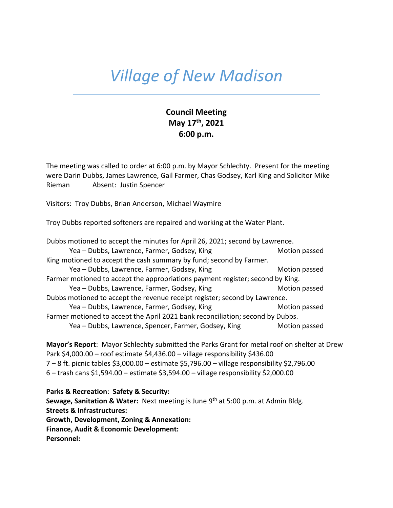## *Village of New Madison*

## **Council Meeting May 17th, 2021 6:00 p.m.**

The meeting was called to order at 6:00 p.m. by Mayor Schlechty. Present for the meeting were Darin Dubbs, James Lawrence, Gail Farmer, Chas Godsey, Karl King and Solicitor Mike Rieman Absent: Justin Spencer

Visitors: Troy Dubbs, Brian Anderson, Michael Waymire

Troy Dubbs reported softeners are repaired and working at the Water Plant.

| Dubbs motioned to accept the minutes for April 26, 2021; second by Lawrence.   |               |  |
|--------------------------------------------------------------------------------|---------------|--|
| Yea - Dubbs, Lawrence, Farmer, Godsey, King                                    | Motion passed |  |
| King motioned to accept the cash summary by fund; second by Farmer.            |               |  |
| Yea - Dubbs, Lawrence, Farmer, Godsey, King                                    | Motion passed |  |
| Farmer motioned to accept the appropriations payment register; second by King. |               |  |
| Yea - Dubbs, Lawrence, Farmer, Godsey, King                                    | Motion passed |  |
| Dubbs motioned to accept the revenue receipt register; second by Lawrence.     |               |  |
| Yea - Dubbs, Lawrence, Farmer, Godsey, King                                    | Motion passed |  |
| Farmer motioned to accept the April 2021 bank reconciliation; second by Dubbs. |               |  |
| Yea - Dubbs, Lawrence, Spencer, Farmer, Godsey, King                           | Motion passed |  |

**Mayor's Report**: Mayor Schlechty submitted the Parks Grant for metal roof on shelter at Drew Park \$4,000.00 – roof estimate \$4,436.00 – village responsibility \$436.00 7 – 8 ft. picnic tables \$3,000.00 – estimate \$5,796.00 – village responsibility \$2,796.00 6 – trash cans \$1,594.00 – estimate \$3,594.00 – village responsibility \$2,000.00

**Parks & Recreation**: **Safety & Security: Sewage, Sanitation & Water:** Next meeting is June 9th at 5:00 p.m. at Admin Bldg. **Streets & Infrastructures: Growth, Development, Zoning & Annexation: Finance, Audit & Economic Development: Personnel:**